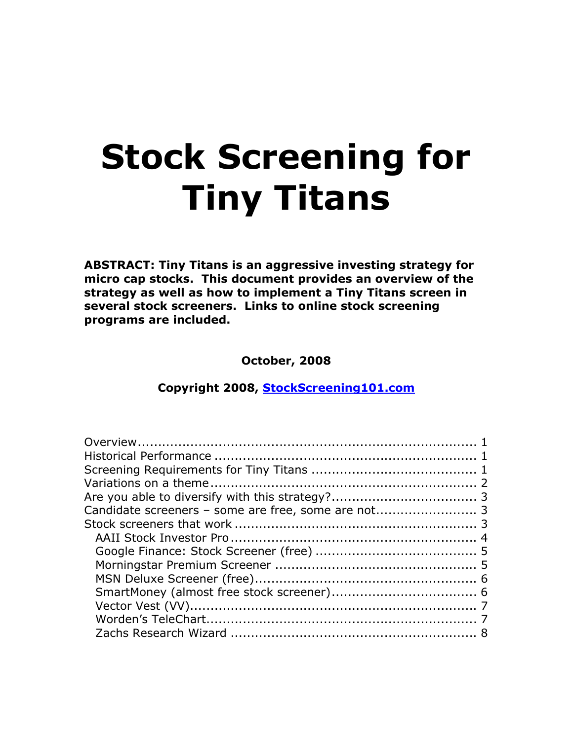# **Stock Screening for Tiny Titans**

**ABSTRACT: Tiny Titans is an aggressive investing strategy for micro cap stocks. This document provides an overview of the strategy as well as how to implement a Tiny Titans screen in several stock screeners. Links to online stock screening programs are included.**

**October, 2008**

**Copyright 2008, [StockScreening101.com](http://www.stockscreening101.com/)**

| Candidate screeners - some are free, some are not 3 |  |
|-----------------------------------------------------|--|
|                                                     |  |
|                                                     |  |
|                                                     |  |
|                                                     |  |
|                                                     |  |
|                                                     |  |
|                                                     |  |
|                                                     |  |
|                                                     |  |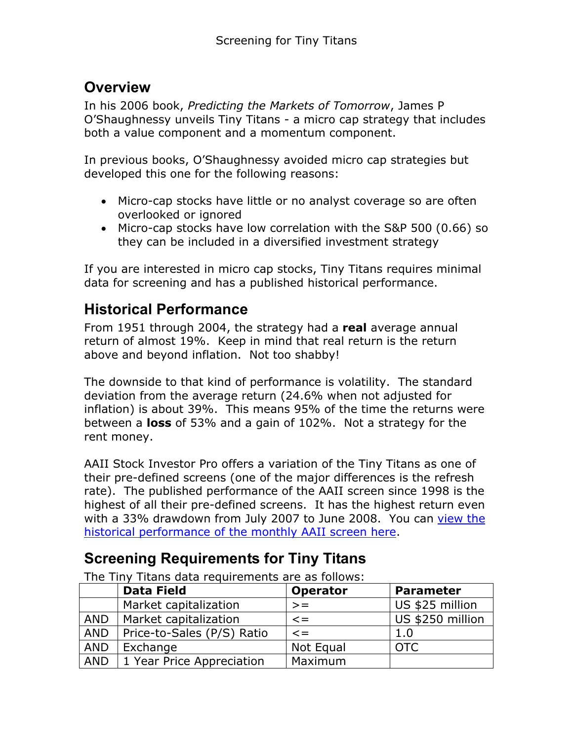# **Overview**

In his 2006 book, *Predicting the Markets of Tomorrow*, James P O'Shaughnessy unveils Tiny Titans - a micro cap strategy that includes both a value component and a momentum component.

In previous books, O'Shaughnessy avoided micro cap strategies but developed this one for the following reasons:

- Micro-cap stocks have little or no analyst coverage so are often overlooked or ignored
- Micro-cap stocks have low correlation with the S&P 500 (0.66) so they can be included in a diversified investment strategy

If you are interested in micro cap stocks, Tiny Titans requires minimal data for screening and has a published historical performance.

# **Historical Performance**

From 1951 through 2004, the strategy had a **real** average annual return of almost 19%. Keep in mind that real return is the return above and beyond inflation. Not too shabby!

The downside to that kind of performance is volatility. The standard deviation from the average return (24.6% when not adjusted for inflation) is about 39%. This means 95% of the time the returns were between a **loss** of 53% and a gain of 102%. Not a strategy for the rent money.

AAII Stock Investor Pro offers a variation of the Tiny Titans as one of their pre-defined screens (one of the major differences is the refresh rate). The published performance of the AAII screen since 1998 is the highest of all their pre-defined screens. It has the highest return even with a 33% drawdown from July 2007 to June 2008. You can view the [historical performance of the monthly AAII screen here](http://www.aaii.com/stockscreens/performance.cfm).

# **Screening Requirements for Tiny Titans**

|            | <b>Data Field</b>          | <b>Operator</b> | <b>Parameter</b> |
|------------|----------------------------|-----------------|------------------|
|            | Market capitalization      | $>=$            | US \$25 million  |
| <b>AND</b> | Market capitalization      | $\leq$ $=$      | US \$250 million |
| AND        | Price-to-Sales (P/S) Ratio | $\leq$ $=$      | 1.0              |
| <b>AND</b> | Exchange                   | Not Equal       | <b>OTC</b>       |
| AND        | 1 Year Price Appreciation  | Maximum         |                  |

The Tiny Titans data requirements are as follows: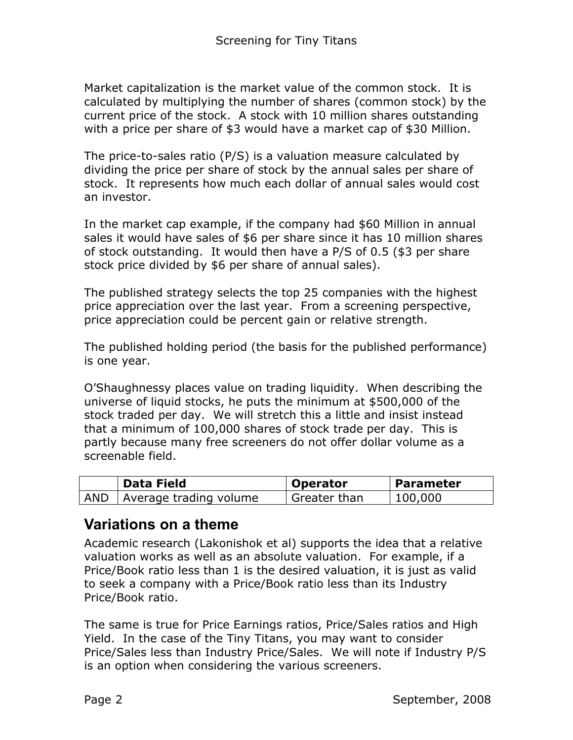Market capitalization is the market value of the common stock. It is calculated by multiplying the number of shares (common stock) by the current price of the stock. A stock with 10 million shares outstanding with a price per share of \$3 would have a market cap of \$30 Million.

The price-to-sales ratio (P/S) is a valuation measure calculated by dividing the price per share of stock by the annual sales per share of stock. It represents how much each dollar of annual sales would cost an investor.

In the market cap example, if the company had \$60 Million in annual sales it would have sales of \$6 per share since it has 10 million shares of stock outstanding. It would then have a P/S of 0.5 (\$3 per share stock price divided by \$6 per share of annual sales).

The published strategy selects the top 25 companies with the highest price appreciation over the last year. From a screening perspective, price appreciation could be percent gain or relative strength.

The published holding period (the basis for the published performance) is one year.

O'Shaughnessy places value on trading liquidity. When describing the universe of liquid stocks, he puts the minimum at \$500,000 of the stock traded per day. We will stretch this a little and insist instead that a minimum of 100,000 shares of stock trade per day. This is partly because many free screeners do not offer dollar volume as a screenable field.

| <b>Data Field</b>            | Operator     | Parameter |
|------------------------------|--------------|-----------|
| AND   Average trading volume | Greater than | 100,000   |

## **Variations on a theme**

Academic research (Lakonishok et al) supports the idea that a relative valuation works as well as an absolute valuation. For example, if a Price/Book ratio less than 1 is the desired valuation, it is just as valid to seek a company with a Price/Book ratio less than its Industry Price/Book ratio.

The same is true for Price Earnings ratios, Price/Sales ratios and High Yield. In the case of the Tiny Titans, you may want to consider Price/Sales less than Industry Price/Sales. We will note if Industry P/S is an option when considering the various screeners.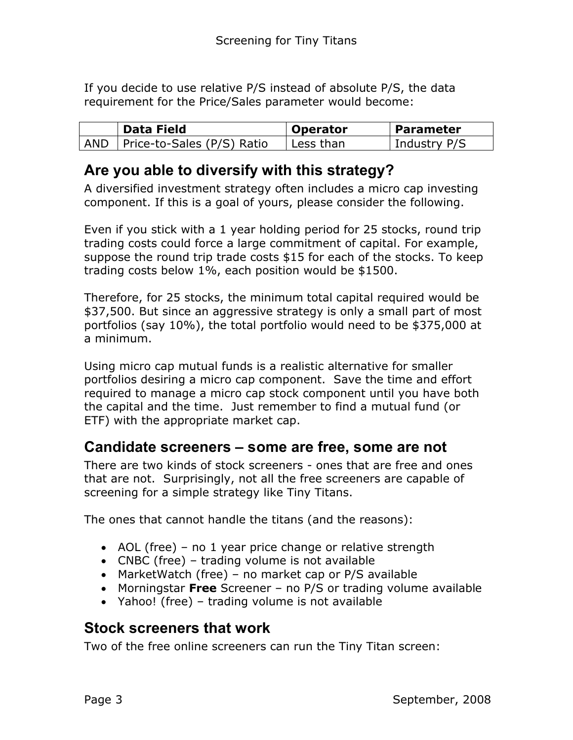If you decide to use relative P/S instead of absolute P/S, the data requirement for the Price/Sales parameter would become:

| Data Field                       | <b>Operator</b> | <b>Parameter</b> |
|----------------------------------|-----------------|------------------|
| AND   Price-to-Sales (P/S) Ratio | Less than       | Industry P/S     |

# **Are you able to diversify with this strategy?**

A diversified investment strategy often includes a micro cap investing component. If this is a goal of yours, please consider the following.

Even if you stick with a 1 year holding period for 25 stocks, round trip trading costs could force a large commitment of capital. For example, suppose the round trip trade costs \$15 for each of the stocks. To keep trading costs below 1%, each position would be \$1500.

Therefore, for 25 stocks, the minimum total capital required would be \$37,500. But since an aggressive strategy is only a small part of most portfolios (say 10%), the total portfolio would need to be \$375,000 at a minimum.

Using micro cap mutual funds is a realistic alternative for smaller portfolios desiring a micro cap component. Save the time and effort required to manage a micro cap stock component until you have both the capital and the time. Just remember to find a mutual fund (or ETF) with the appropriate market cap.

## **Candidate screeners – some are free, some are not**

There are two kinds of stock screeners - ones that are free and ones that are not. Surprisingly, not all the free screeners are capable of screening for a simple strategy like Tiny Titans.

The ones that cannot handle the titans (and the reasons):

- AOL (free) no 1 year price change or relative strength
- CNBC (free) trading volume is not available
- MarketWatch (free) no market cap or P/S available
- Morningstar **Free** Screener no P/S or trading volume available
- Yahoo! (free) trading volume is not available

# **Stock screeners that work**

Two of the free online screeners can run the Tiny Titan screen: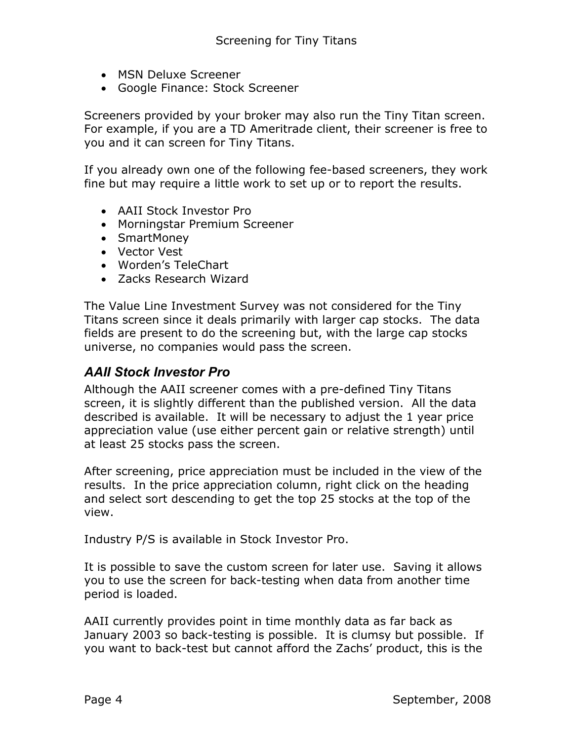- MSN Deluxe Screener
- Google Finance: Stock Screener

Screeners provided by your broker may also run the Tiny Titan screen. For example, if you are a TD Ameritrade client, their screener is free to you and it can screen for Tiny Titans.

If you already own one of the following fee-based screeners, they work fine but may require a little work to set up or to report the results.

- AAII Stock Investor Pro
- Morningstar Premium Screener
- SmartMoney
- Vector Vest
- Worden's TeleChart
- Zacks Research Wizard

The Value Line Investment Survey was not considered for the Tiny Titans screen since it deals primarily with larger cap stocks. The data fields are present to do the screening but, with the large cap stocks universe, no companies would pass the screen.

## *AAII Stock Investor Pro*

Although the AAII screener comes with a pre-defined Tiny Titans screen, it is slightly different than the published version. All the data described is available. It will be necessary to adjust the 1 year price appreciation value (use either percent gain or relative strength) until at least 25 stocks pass the screen.

After screening, price appreciation must be included in the view of the results. In the price appreciation column, right click on the heading and select sort descending to get the top 25 stocks at the top of the view.

Industry P/S is available in Stock Investor Pro.

It is possible to save the custom screen for later use. Saving it allows you to use the screen for back-testing when data from another time period is loaded.

AAII currently provides point in time monthly data as far back as January 2003 so back-testing is possible. It is clumsy but possible. If you want to back-test but cannot afford the Zachs' product, this is the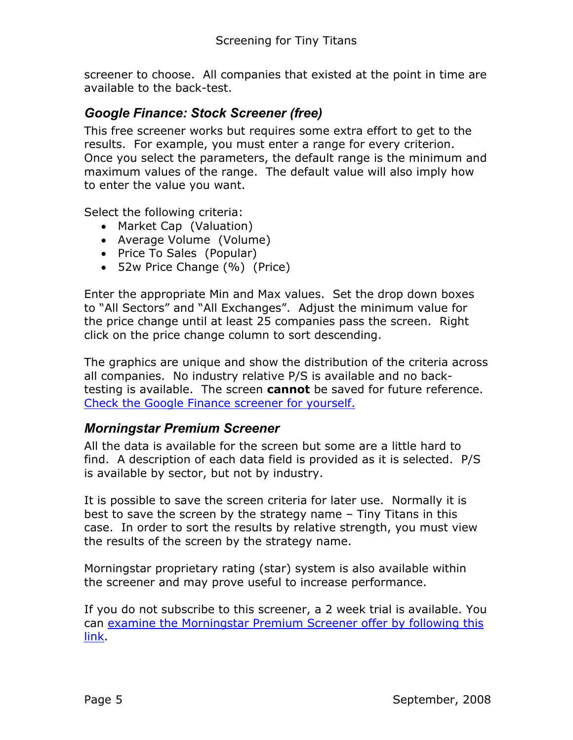screener to choose. All companies that existed at the point in time are available to the back-test.

#### *Google Finance: Stock Screener (free)*

This free screener works but requires some extra effort to get to the results. For example, you must enter a range for every criterion. Once you select the parameters, the default range is the minimum and maximum values of the range. The default value will also imply how to enter the value you want.

Select the following criteria:

- Market Cap (Valuation)
- Average Volume (Volume)
- Price To Sales (Popular)
- 52w Price Change (%) (Price)

Enter the appropriate Min and Max values. Set the drop down boxes to "All Sectors" and "All Exchanges". Adjust the minimum value for the price change until at least 25 companies pass the screen. Right click on the price change column to sort descending.

The graphics are unique and show the distribution of the criteria across all companies. No industry relative P/S is available and no backtesting is available. The screen **cannot** be saved for future reference. [Check the Google Finance screener for yourself.](http://finance.google.com/finance/stockscreener)

#### *Morningstar Premium Screener*

All the data is available for the screen but some are a little hard to find. A description of each data field is provided as it is selected. P/S is available by sector, but not by industry.

It is possible to save the screen criteria for later use. Normally it is best to save the screen by the strategy name – Tiny Titans in this case. In order to sort the results by relative strength, you must view the results of the screen by the strategy name.

Morningstar proprietary rating (star) system is also available within the screener and may prove useful to increase performance.

If you do not subscribe to this screener, a 2 week trial is available. You can [examine the Morningstar Premium Screener offer by following this](http://screen.morningstar.com/AdvStocks/Selector.html)  [link](http://screen.morningstar.com/AdvStocks/Selector.html).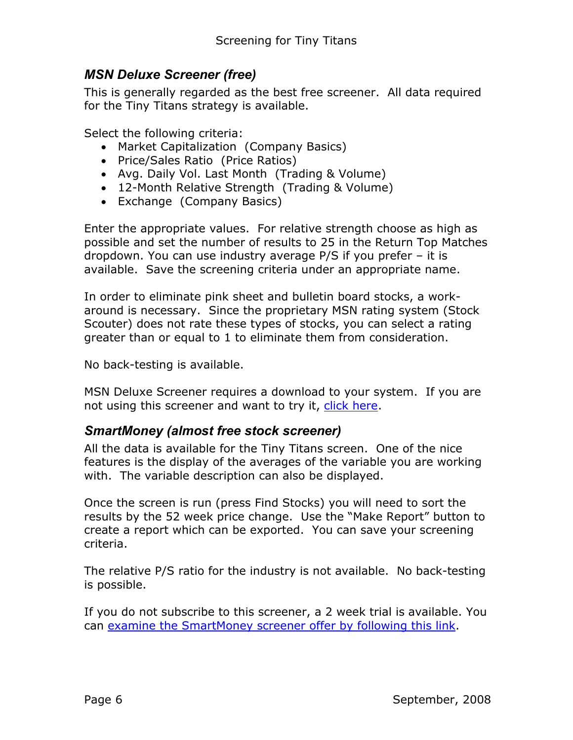## *MSN Deluxe Screener (free)*

This is generally regarded as the best free screener. All data required for the Tiny Titans strategy is available.

Select the following criteria:

- Market Capitalization (Company Basics)
- Price/Sales Ratio (Price Ratios)
- Avg. Daily Vol. Last Month (Trading & Volume)
- 12-Month Relative Strength (Trading & Volume)
- Exchange (Company Basics)

Enter the appropriate values. For relative strength choose as high as possible and set the number of results to 25 in the Return Top Matches dropdown. You can use industry average P/S if you prefer – it is available. Save the screening criteria under an appropriate name.

In order to eliminate pink sheet and bulletin board stocks, a workaround is necessary. Since the proprietary MSN rating system (Stock Scouter) does not rate these types of stocks, you can select a rating greater than or equal to 1 to eliminate them from consideration.

No back-testing is available.

MSN Deluxe Screener requires a download to your system. If you are not using this screener and want to try it, [click here.](http://moneycentral.msn.com/investor/controls/finderpro.asp)

#### *SmartMoney (almost free stock screener)*

All the data is available for the Tiny Titans screen. One of the nice features is the display of the averages of the variable you are working with. The variable description can also be displayed.

Once the screen is run (press Find Stocks) you will need to sort the results by the 52 week price change. Use the "Make Report" button to create a report which can be exported. You can save your screening criteria.

The relative P/S ratio for the industry is not available. No back-testing is possible.

If you do not subscribe to this screener, a 2 week trial is available. You can [examine the SmartMoney screener offer by following this link.](https://ecommerce.smartmoney.com/ecommerce/login?url=/stockscreener/index.cfm?advtype=stockscreener&adv=tools&rl=1&host=selectdl.smartmoney.com)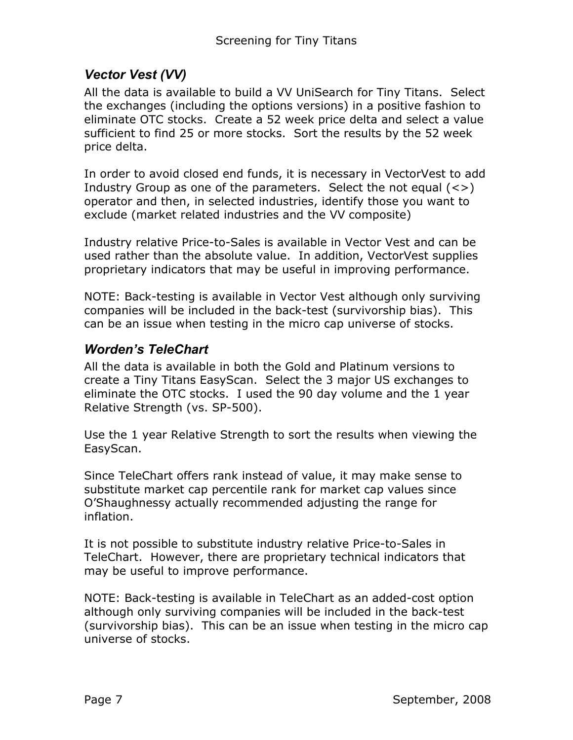## *Vector Vest (VV)*

All the data is available to build a VV UniSearch for Tiny Titans. Select the exchanges (including the options versions) in a positive fashion to eliminate OTC stocks. Create a 52 week price delta and select a value sufficient to find 25 or more stocks. Sort the results by the 52 week price delta.

In order to avoid closed end funds, it is necessary in VectorVest to add Industry Group as one of the parameters. Select the not equal  $(\le)$ operator and then, in selected industries, identify those you want to exclude (market related industries and the VV composite)

Industry relative Price-to-Sales is available in Vector Vest and can be used rather than the absolute value. In addition, VectorVest supplies proprietary indicators that may be useful in improving performance.

NOTE: Back-testing is available in Vector Vest although only surviving companies will be included in the back-test (survivorship bias). This can be an issue when testing in the micro cap universe of stocks.

#### *Worden's TeleChart*

All the data is available in both the Gold and Platinum versions to create a Tiny Titans EasyScan. Select the 3 major US exchanges to eliminate the OTC stocks. I used the 90 day volume and the 1 year Relative Strength (vs. SP-500).

Use the 1 year Relative Strength to sort the results when viewing the EasyScan.

Since TeleChart offers rank instead of value, it may make sense to substitute market cap percentile rank for market cap values since O'Shaughnessy actually recommended adjusting the range for inflation.

It is not possible to substitute industry relative Price-to-Sales in TeleChart. However, there are proprietary technical indicators that may be useful to improve performance.

NOTE: Back-testing is available in TeleChart as an added-cost option although only surviving companies will be included in the back-test (survivorship bias). This can be an issue when testing in the micro cap universe of stocks.